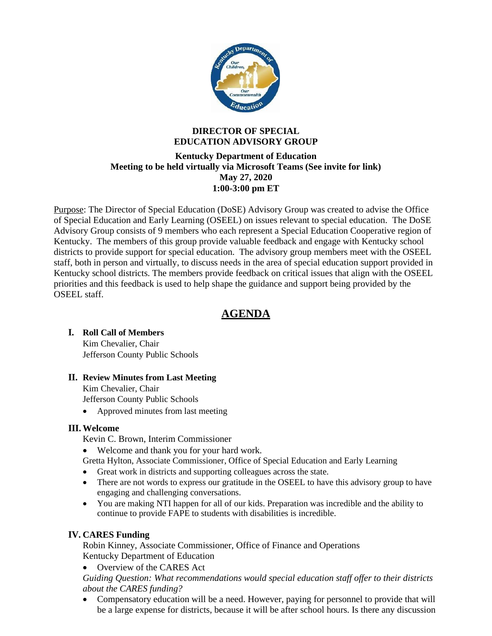

### **DIRECTOR OF SPECIAL EDUCATION ADVISORY GROUP**

### **Kentucky Department of Education Meeting to be held virtually via Microsoft Teams (See invite for link) May 27, 2020 1:00-3:00 pm ET**

Purpose: The Director of Special Education (DoSE) Advisory Group was created to advise the Office of Special Education and Early Learning (OSEEL) on issues relevant to special education. The DoSE Advisory Group consists of 9 members who each represent a Special Education Cooperative region of Kentucky. The members of this group provide valuable feedback and engage with Kentucky school districts to provide support for special education. The advisory group members meet with the OSEEL staff, both in person and virtually, to discuss needs in the area of special education support provided in Kentucky school districts. The members provide feedback on critical issues that align with the OSEEL priorities and this feedback is used to help shape the guidance and support being provided by the OSEEL staff.

# **AGENDA**

# **I. Roll Call of Members**

Kim Chevalier, Chair Jefferson County Public Schools

### **II. Review Minutes from Last Meeting**

Kim Chevalier, Chair Jefferson County Public Schools

• Approved minutes from last meeting

# **III. Welcome**

Kevin C. Brown, Interim Commissioner

- Welcome and thank you for your hard work.
- Gretta Hylton, Associate Commissioner, Office of Special Education and Early Learning
- Great work in districts and supporting colleagues across the state.
- There are not words to express our gratitude in the OSEEL to have this advisory group to have engaging and challenging conversations.
- You are making NTI happen for all of our kids. Preparation was incredible and the ability to continue to provide FAPE to students with disabilities is incredible.

# **IV. CARES Funding**

Robin Kinney, Associate Commissioner, Office of Finance and Operations Kentucky Department of Education

• Overview of the CARES Act

*Guiding Question: What recommendations would special education staff offer to their districts about the CARES funding?*

• Compensatory education will be a need. However, paying for personnel to provide that will be a large expense for districts, because it will be after school hours. Is there any discussion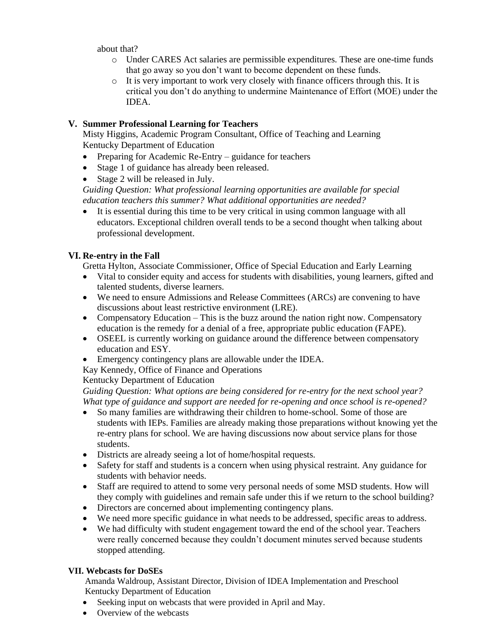about that?

- o Under CARES Act salaries are permissible expenditures. These are one-time funds that go away so you don't want to become dependent on these funds.
- $\circ$  It is very important to work very closely with finance officers through this. It is critical you don't do anything to undermine Maintenance of Effort (MOE) under the IDEA.

# **V. Summer Professional Learning for Teachers**

Misty Higgins, Academic Program Consultant, Office of Teaching and Learning Kentucky Department of Education

- Preparing for Academic Re-Entry guidance for teachers
- Stage 1 of guidance has already been released.
- Stage 2 will be released in July.

*Guiding Question: What professional learning opportunities are available for special education teachers this summer? What additional opportunities are needed?*

It is essential during this time to be very critical in using common language with all educators. Exceptional children overall tends to be a second thought when talking about professional development.

# **VI. Re-entry in the Fall**

Gretta Hylton, Associate Commissioner, Office of Special Education and Early Learning

- Vital to consider equity and access for students with disabilities, young learners, gifted and talented students, diverse learners.
- We need to ensure Admissions and Release Committees (ARCs) are convening to have discussions about least restrictive environment (LRE).
- Compensatory Education This is the buzz around the nation right now. Compensatory education is the remedy for a denial of a free, appropriate public education (FAPE).
- OSEEL is currently working on guidance around the difference between compensatory education and ESY.
- Emergency contingency plans are allowable under the IDEA.
- Kay Kennedy, Office of Finance and Operations

# Kentucky Department of Education

*Guiding Question: What options are being considered for re-entry for the next school year? What type of guidance and support are needed for re-opening and once school is re-opened?*

- So many families are withdrawing their children to home-school. Some of those are students with IEPs. Families are already making those preparations without knowing yet the re-entry plans for school. We are having discussions now about service plans for those students.
- Districts are already seeing a lot of home/hospital requests.
- Safety for staff and students is a concern when using physical restraint. Any guidance for students with behavior needs.
- Staff are required to attend to some very personal needs of some MSD students. How will they comply with guidelines and remain safe under this if we return to the school building?
- Directors are concerned about implementing contingency plans.
- We need more specific guidance in what needs to be addressed, specific areas to address.
- We had difficulty with student engagement toward the end of the school year. Teachers were really concerned because they couldn't document minutes served because students stopped attending.

# **VII. Webcasts for DoSEs**

Amanda Waldroup, Assistant Director, Division of IDEA Implementation and Preschool Kentucky Department of Education

- Seeking input on webcasts that were provided in April and May.
- Overview of the webcasts